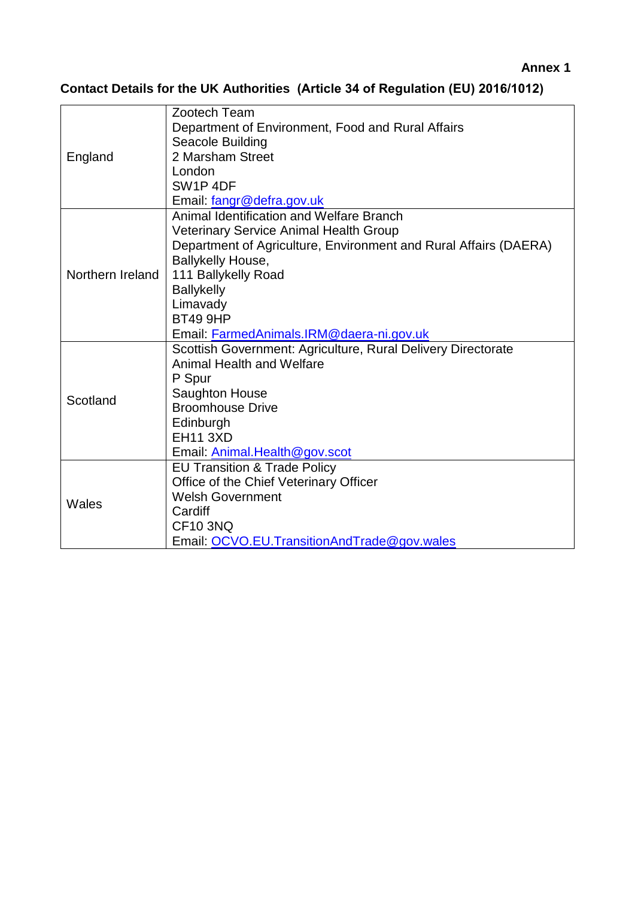# **Contact Details for the UK Authorities (Article 34 of Regulation (EU) 2016/1012)**

|                  | Zootech Team                                                                      |
|------------------|-----------------------------------------------------------------------------------|
|                  | Department of Environment, Food and Rural Affairs                                 |
|                  | Seacole Building                                                                  |
| England          | 2 Marsham Street                                                                  |
|                  | London                                                                            |
|                  | SW <sub>1</sub> P <sub>4</sub> DF                                                 |
|                  | Email: fangr@defra.gov.uk                                                         |
|                  | Animal Identification and Welfare Branch                                          |
|                  | <b>Veterinary Service Animal Health Group</b>                                     |
|                  | Department of Agriculture, Environment and Rural Affairs (DAERA)                  |
|                  | Ballykelly House,                                                                 |
| Northern Ireland | 111 Ballykelly Road                                                               |
|                  | <b>Ballykelly</b>                                                                 |
|                  | Limavady                                                                          |
|                  | <b>BT49 9HP</b>                                                                   |
|                  | Email: FarmedAnimals.IRM@daera-ni.gov.uk                                          |
|                  | Scottish Government: Agriculture, Rural Delivery Directorate                      |
|                  | Animal Health and Welfare                                                         |
|                  | P Spur                                                                            |
| Scotland         | Saughton House                                                                    |
|                  | <b>Broomhouse Drive</b>                                                           |
|                  | Edinburgh<br><b>EH11 3XD</b>                                                      |
|                  |                                                                                   |
|                  | Email: Animal.Health@gov.scot                                                     |
|                  | <b>EU Transition &amp; Trade Policy</b><br>Office of the Chief Veterinary Officer |
|                  | <b>Welsh Government</b>                                                           |
| Wales            | Cardiff                                                                           |
|                  | <b>CF10 3NQ</b>                                                                   |
|                  | Email: OCVO.EU.TransitionAndTrade@gov.wales                                       |
|                  |                                                                                   |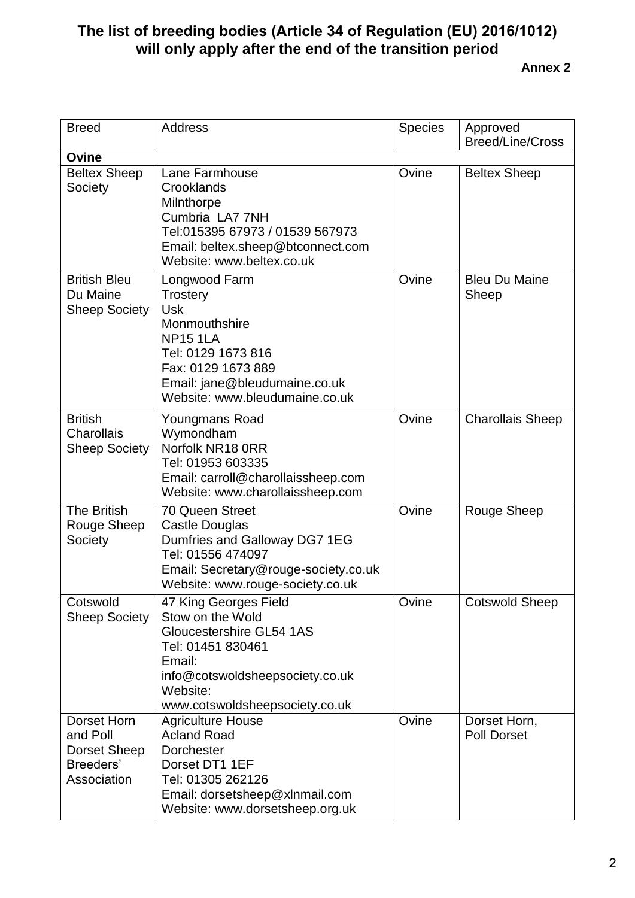**Annex 2** 

| <b>Breed</b>                                                        | <b>Address</b>                                                                                                                                                                                    | <b>Species</b> | Approved<br><b>Breed/Line/Cross</b> |
|---------------------------------------------------------------------|---------------------------------------------------------------------------------------------------------------------------------------------------------------------------------------------------|----------------|-------------------------------------|
| Ovine                                                               |                                                                                                                                                                                                   |                |                                     |
| <b>Beltex Sheep</b><br>Society                                      | Lane Farmhouse<br>Crooklands<br>Milnthorpe<br>Cumbria LA7 7NH<br>Tel:015395 67973 / 01539 567973<br>Email: beltex.sheep@btconnect.com<br>Website: www.beltex.co.uk                                | Ovine          | <b>Beltex Sheep</b>                 |
| <b>British Bleu</b><br>Du Maine<br><b>Sheep Society</b>             | Longwood Farm<br><b>Trostery</b><br><b>Usk</b><br>Monmouthshire<br><b>NP15 1LA</b><br>Tel: 0129 1673 816<br>Fax: 0129 1673 889<br>Email: jane@bleudumaine.co.uk<br>Website: www.bleudumaine.co.uk | Ovine          | <b>Bleu Du Maine</b><br>Sheep       |
| <b>British</b><br>Charollais<br><b>Sheep Society</b>                | Youngmans Road<br>Wymondham<br>Norfolk NR18 ORR<br>Tel: 01953 603335<br>Email: carroll@charollaissheep.com<br>Website: www.charollaissheep.com                                                    | Ovine          | <b>Charollais Sheep</b>             |
| <b>The British</b><br>Rouge Sheep<br>Society                        | 70 Queen Street<br>Castle Douglas<br>Dumfries and Galloway DG7 1EG<br>Tel: 01556 474097<br>Email: Secretary@rouge-society.co.uk<br>Website: www.rouge-society.co.uk                               | Ovine          | Rouge Sheep                         |
| Cotswold<br><b>Sheep Society</b>                                    | 47 King Georges Field<br>Stow on the Wold<br>Gloucestershire GL54 1AS<br>Tel: 01451 830461<br>Email:<br>info@cotswoldsheepsociety.co.uk<br>Website:<br>www.cotswoldsheepsociety.co.uk             | Ovine          | <b>Cotswold Sheep</b>               |
| Dorset Horn<br>and Poll<br>Dorset Sheep<br>Breeders'<br>Association | <b>Agriculture House</b><br><b>Acland Road</b><br>Dorchester<br>Dorset DT1 1EF<br>Tel: 01305 262126<br>Email: dorsetsheep@xlnmail.com<br>Website: www.dorsetsheep.org.uk                          | Ovine          | Dorset Horn,<br><b>Poll Dorset</b>  |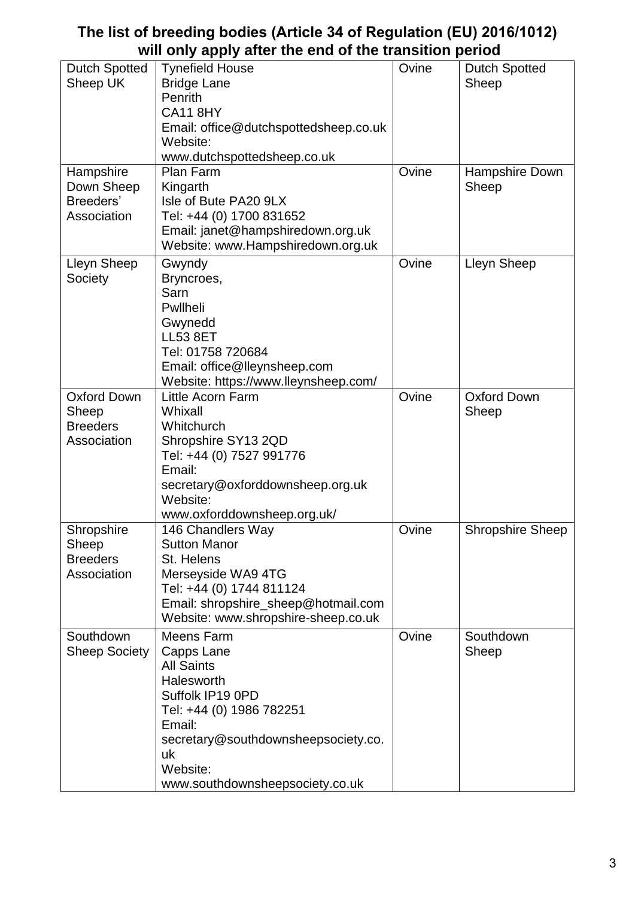| <b>Dutch Spotted</b> | <b>Tynefield House</b>                | Ovine | <b>Dutch Spotted</b>    |
|----------------------|---------------------------------------|-------|-------------------------|
| Sheep UK             | <b>Bridge Lane</b>                    |       | Sheep                   |
|                      | Penrith                               |       |                         |
|                      | <b>CA11 8HY</b>                       |       |                         |
|                      | Email: office@dutchspottedsheep.co.uk |       |                         |
|                      | Website:                              |       |                         |
|                      | www.dutchspottedsheep.co.uk           |       |                         |
| Hampshire            | <b>Plan Farm</b>                      | Ovine | Hampshire Down          |
| Down Sheep           | Kingarth                              |       | Sheep                   |
| Breeders'            | Isle of Bute PA20 9LX                 |       |                         |
| Association          | Tel: +44 (0) 1700 831652              |       |                         |
|                      | Email: janet@hampshiredown.org.uk     |       |                         |
|                      | Website: www.Hampshiredown.org.uk     |       |                         |
| Lleyn Sheep          | Gwyndy                                | Ovine | Lleyn Sheep             |
| Society              | Bryncroes,                            |       |                         |
|                      | Sarn                                  |       |                         |
|                      | Pwllheli                              |       |                         |
|                      | Gwynedd                               |       |                         |
|                      | <b>LL53 8ET</b>                       |       |                         |
|                      | Tel: 01758 720684                     |       |                         |
|                      | Email: office@lleynsheep.com          |       |                         |
|                      | Website: https://www.lleynsheep.com/  |       |                         |
| <b>Oxford Down</b>   | Little Acorn Farm                     | Ovine | <b>Oxford Down</b>      |
| Sheep                | Whixall                               |       | Sheep                   |
| <b>Breeders</b>      | Whitchurch                            |       |                         |
| Association          | Shropshire SY13 2QD                   |       |                         |
|                      | Tel: +44 (0) 7527 991776              |       |                         |
|                      | Email:                                |       |                         |
|                      | secretary@oxforddownsheep.org.uk      |       |                         |
|                      | Website:                              |       |                         |
|                      | www.oxforddownsheep.org.uk/           |       |                         |
| Shropshire           | 146 Chandlers Way                     | Ovine | <b>Shropshire Sheep</b> |
| Sheep                | <b>Sutton Manor</b>                   |       |                         |
| <b>Breeders</b>      | St. Helens                            |       |                         |
| Association          | Merseyside WA9 4TG                    |       |                         |
|                      | Tel: +44 (0) 1744 811124              |       |                         |
|                      | Email: shropshire_sheep@hotmail.com   |       |                         |
|                      | Website: www.shropshire-sheep.co.uk   |       |                         |
| Southdown            | Meens Farm                            | Ovine | Southdown               |
| <b>Sheep Society</b> | Capps Lane                            |       | Sheep                   |
|                      | <b>All Saints</b>                     |       |                         |
|                      | Halesworth                            |       |                         |
|                      | Suffolk IP19 0PD                      |       |                         |
|                      | Tel: +44 (0) 1986 782251              |       |                         |
|                      | Email:                                |       |                         |
|                      | secretary@southdownsheepsociety.co.   |       |                         |
|                      | uk                                    |       |                         |
|                      | Website:                              |       |                         |
|                      | www.southdownsheepsociety.co.uk       |       |                         |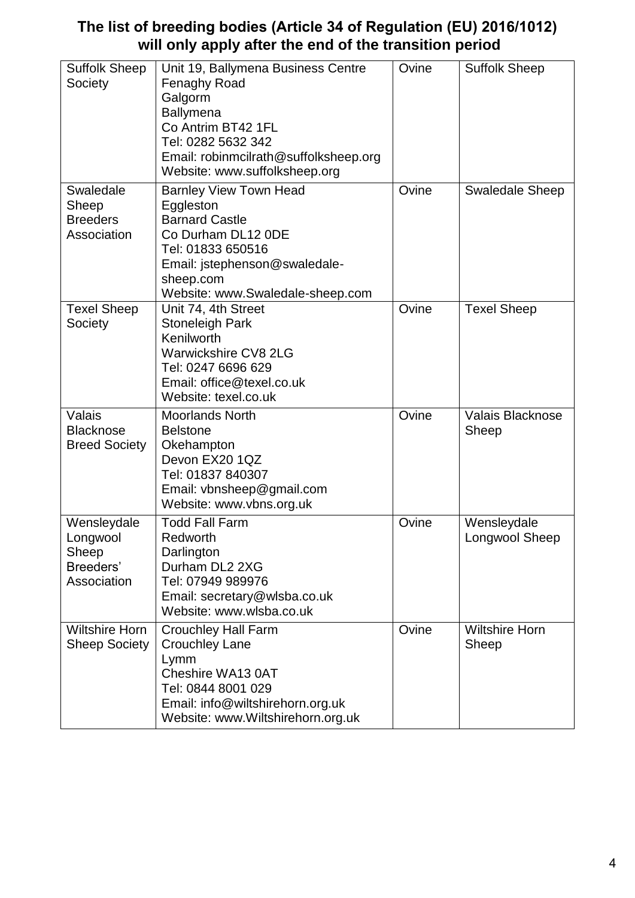| <b>Suffolk Sheep</b><br>Society                              | Unit 19, Ballymena Business Centre<br>Fenaghy Road<br>Galgorm<br><b>Ballymena</b><br>Co Antrim BT42 1FL<br>Tel: 0282 5632 342<br>Email: robinmcilrath@suffolksheep.org<br>Website: www.suffolksheep.org | Ovine | <b>Suffolk Sheep</b>           |
|--------------------------------------------------------------|---------------------------------------------------------------------------------------------------------------------------------------------------------------------------------------------------------|-------|--------------------------------|
| Swaledale<br>Sheep<br><b>Breeders</b><br>Association         | <b>Barnley View Town Head</b><br>Eggleston<br><b>Barnard Castle</b><br>Co Durham DL12 0DE<br>Tel: 01833 650516<br>Email: jstephenson@swaledale-<br>sheep.com<br>Website: www.Swaledale-sheep.com        | Ovine | <b>Swaledale Sheep</b>         |
| <b>Texel Sheep</b><br>Society                                | Unit 74, 4th Street<br>Stoneleigh Park<br>Kenilworth<br><b>Warwickshire CV8 2LG</b><br>Tel: 0247 6696 629<br>Email: office@texel.co.uk<br>Website: texel.co.uk                                          | Ovine | <b>Texel Sheep</b>             |
| Valais<br><b>Blacknose</b><br><b>Breed Society</b>           | <b>Moorlands North</b><br><b>Belstone</b><br>Okehampton<br>Devon EX20 1QZ<br>Tel: 01837 840307<br>Email: vbnsheep@gmail.com<br>Website: www.vbns.org.uk                                                 | Ovine | Valais Blacknose<br>Sheep      |
| Wensleydale<br>Longwool<br>Sheep<br>Breeders'<br>Association | <b>Todd Fall Farm</b><br>Redworth<br>Darlington<br>Durham DL2 2XG<br>Tel: 07949 989976<br>Email: secretary@wlsba.co.uk<br>Website: www.wlsba.co.uk                                                      | Ovine | Wensleydale<br>Longwool Sheep  |
| <b>Wiltshire Horn</b><br><b>Sheep Society</b>                | <b>Crouchley Hall Farm</b><br><b>Crouchley Lane</b><br>Lymm<br>Cheshire WA13 0AT<br>Tel: 0844 8001 029<br>Email: info@wiltshirehorn.org.uk<br>Website: www.Wiltshirehorn.org.uk                         | Ovine | <b>Wiltshire Horn</b><br>Sheep |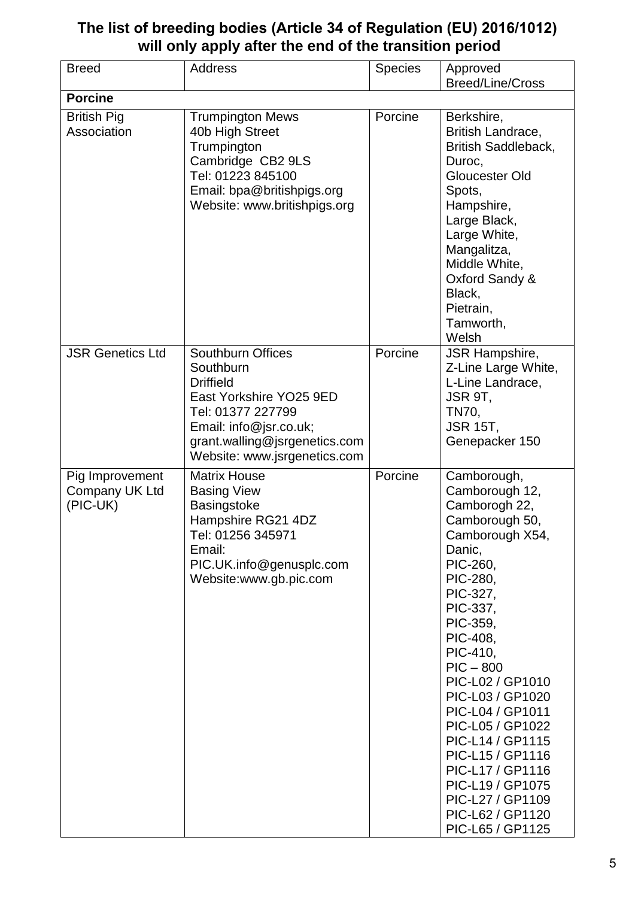| <b>Breed</b>                                  | Address                                                                                                                                                                                              | <b>Species</b> | Approved<br><b>Breed/Line/Cross</b>                                                                                                                                                                                                                                                                                                                                                                                                 |  |  |
|-----------------------------------------------|------------------------------------------------------------------------------------------------------------------------------------------------------------------------------------------------------|----------------|-------------------------------------------------------------------------------------------------------------------------------------------------------------------------------------------------------------------------------------------------------------------------------------------------------------------------------------------------------------------------------------------------------------------------------------|--|--|
| <b>Porcine</b>                                |                                                                                                                                                                                                      |                |                                                                                                                                                                                                                                                                                                                                                                                                                                     |  |  |
| <b>British Pig</b><br>Association             | <b>Trumpington Mews</b><br>40b High Street<br>Trumpington<br>Cambridge CB2 9LS<br>Tel: 01223 845100<br>Email: bpa@britishpigs.org<br>Website: www.britishpigs.org                                    | Porcine        | Berkshire,<br>British Landrace,<br>British Saddleback,<br>Duroc,<br>Gloucester Old<br>Spots,<br>Hampshire,<br>Large Black,<br>Large White,<br>Mangalitza,<br>Middle White,<br>Oxford Sandy &<br>Black,<br>Pietrain,<br>Tamworth,<br>Welsh                                                                                                                                                                                           |  |  |
| <b>JSR Genetics Ltd</b>                       | <b>Southburn Offices</b><br>Southburn<br><b>Driffield</b><br>East Yorkshire YO25 9ED<br>Tel: 01377 227799<br>Email: info@jsr.co.uk;<br>grant.walling@jsrgenetics.com<br>Website: www.jsrgenetics.com | Porcine        | <b>JSR Hampshire,</b><br>Z-Line Large White,<br>L-Line Landrace,<br>JSR 9T,<br>TN70,<br><b>JSR 15T,</b><br>Genepacker 150                                                                                                                                                                                                                                                                                                           |  |  |
| Pig Improvement<br>Company UK Ltd<br>(PIC-UK) | <b>Matrix House</b><br><b>Basing View</b><br>Basingstoke<br>Hampshire RG21 4DZ<br>Tel: 01256 345971<br>Email:<br>PIC.UK.info@genusplc.com<br>Website:www.gb.pic.com                                  | Porcine        | Camborough,<br>Camborough 12,<br>Camborogh 22,<br>Camborough 50,<br>Camborough X54,<br>Danic,<br>PIC-260,<br>PIC-280,<br>PIC-327,<br>PIC-337.<br>PIC-359,<br>PIC-408,<br>PIC-410,<br>$\text{PIC} - 800$<br>PIC-L02 / GP1010<br>PIC-L03 / GP1020<br>PIC-L04 / GP1011<br>PIC-L05 / GP1022<br>PIC-L14 / GP1115<br>PIC-L15 / GP1116<br>PIC-L17 / GP1116<br>PIC-L19 / GP1075<br>PIC-L27 / GP1109<br>PIC-L62 / GP1120<br>PIC-L65 / GP1125 |  |  |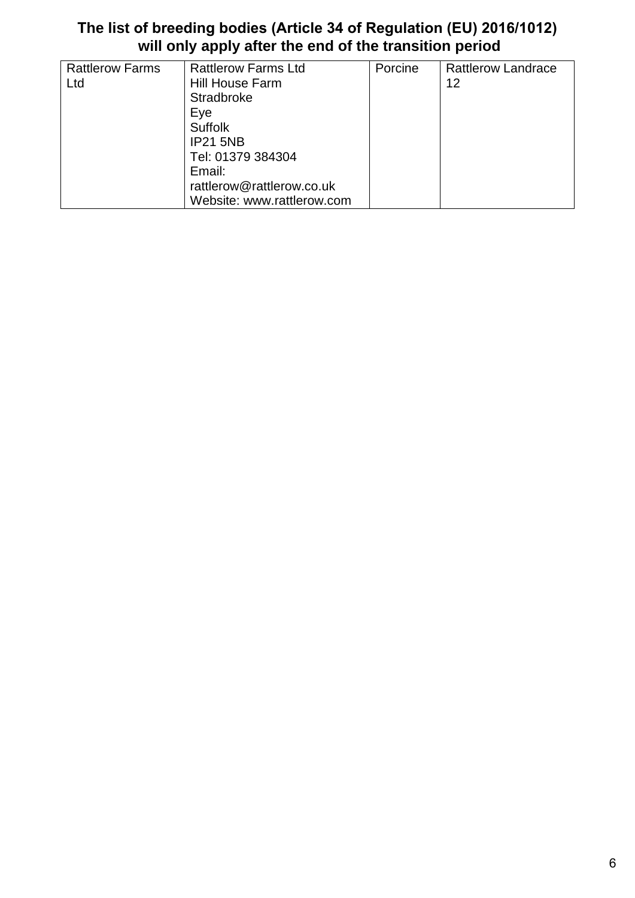| <b>Rattlerow Farms</b> | <b>Rattlerow Farms Ltd</b> | Porcine | <b>Rattlerow Landrace</b> |
|------------------------|----------------------------|---------|---------------------------|
| Ltd                    | <b>Hill House Farm</b>     |         | 12                        |
|                        | <b>Stradbroke</b>          |         |                           |
|                        | Eye                        |         |                           |
|                        | <b>Suffolk</b>             |         |                           |
|                        | <b>IP21 5NB</b>            |         |                           |
|                        | Tel: 01379 384304          |         |                           |
|                        | Email:                     |         |                           |
|                        | rattlerow@rattlerow.co.uk  |         |                           |
|                        | Website: www.rattlerow.com |         |                           |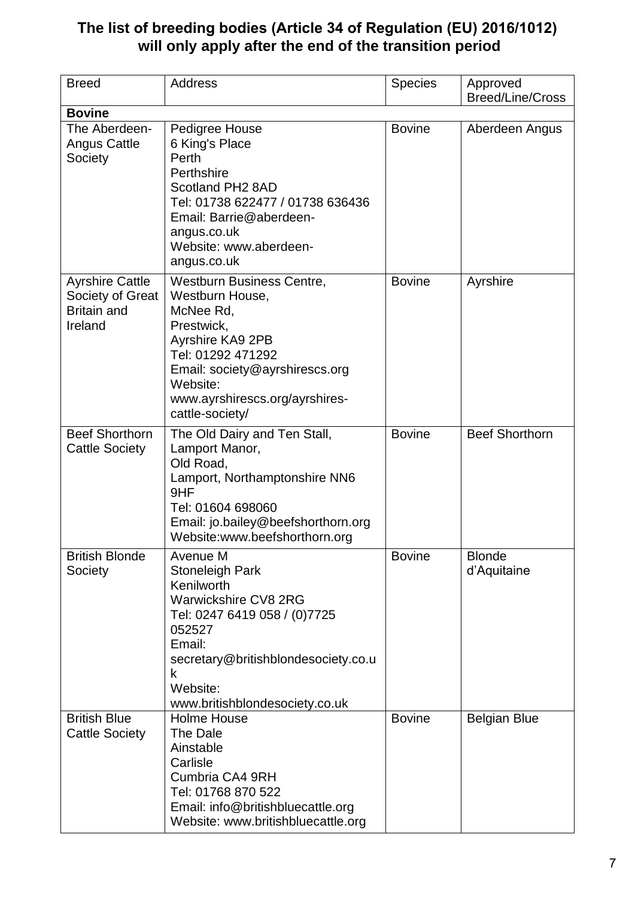| <b>Breed</b>                                                                | <b>Address</b>                                                                                                                                                                                                                    | <b>Species</b> | Approved<br><b>Breed/Line/Cross</b> |
|-----------------------------------------------------------------------------|-----------------------------------------------------------------------------------------------------------------------------------------------------------------------------------------------------------------------------------|----------------|-------------------------------------|
| <b>Bovine</b>                                                               |                                                                                                                                                                                                                                   |                |                                     |
| The Aberdeen-<br><b>Angus Cattle</b><br>Society                             | Pedigree House<br>6 King's Place<br>Perth<br>Perthshire<br>Scotland PH2 8AD<br>Tel: 01738 622477 / 01738 636436<br>Email: Barrie@aberdeen-<br>angus.co.uk<br>Website: www.aberdeen-<br>angus.co.uk                                | <b>Bovine</b>  | Aberdeen Angus                      |
| <b>Ayrshire Cattle</b><br>Society of Great<br><b>Britain and</b><br>Ireland | <b>Westburn Business Centre,</b><br>Westburn House,<br>McNee Rd,<br>Prestwick,<br><b>Ayrshire KA9 2PB</b><br>Tel: 01292 471292<br>Email: society@ayrshirescs.org<br>Website:<br>www.ayrshirescs.org/ayrshires-<br>cattle-society/ | <b>Bovine</b>  | Ayrshire                            |
| <b>Beef Shorthorn</b><br><b>Cattle Society</b>                              | The Old Dairy and Ten Stall,<br>Lamport Manor,<br>Old Road,<br>Lamport, Northamptonshire NN6<br>9HF<br>Tel: 01604 698060<br>Email: jo.bailey@beefshorthorn.org<br>Website:www.beefshorthorn.org                                   | <b>Bovine</b>  | <b>Beef Shorthorn</b>               |
| <b>British Blonde</b><br>Society                                            | Avenue M<br><b>Stoneleigh Park</b><br>Kenilworth<br><b>Warwickshire CV8 2RG</b><br>Tel: 0247 6419 058 / (0)7725<br>052527<br>Email:<br>secretary@britishblondesociety.co.u<br>k<br>Website:<br>www.britishblondesociety.co.uk     | <b>Bovine</b>  | <b>Blonde</b><br>d'Aquitaine        |
| <b>British Blue</b><br><b>Cattle Society</b>                                | <b>Holme House</b><br>The Dale<br>Ainstable<br>Carlisle<br>Cumbria CA4 9RH<br>Tel: 01768 870 522<br>Email: info@britishbluecattle.org<br>Website: www.britishbluecattle.org                                                       | <b>Bovine</b>  | <b>Belgian Blue</b>                 |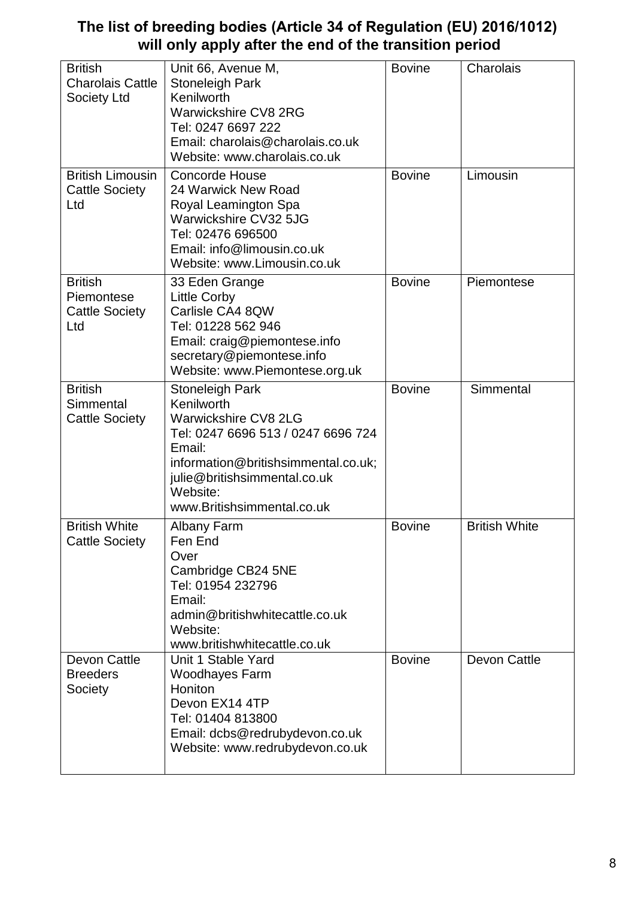| <b>British</b><br><b>Charolais Cattle</b><br><b>Society Ltd</b> | Unit 66, Avenue M,<br><b>Stoneleigh Park</b><br>Kenilworth<br><b>Warwickshire CV8 2RG</b><br>Tel: 0247 6697 222<br>Email: charolais@charolais.co.uk<br>Website: www.charolais.co.uk                                                  | <b>Bovine</b> | Charolais            |
|-----------------------------------------------------------------|--------------------------------------------------------------------------------------------------------------------------------------------------------------------------------------------------------------------------------------|---------------|----------------------|
| <b>British Limousin</b><br><b>Cattle Society</b><br>Ltd         | <b>Concorde House</b><br>24 Warwick New Road<br>Royal Leamington Spa<br>Warwickshire CV32 5JG<br>Tel: 02476 696500<br>Email: info@limousin.co.uk<br>Website: www.Limousin.co.uk                                                      | <b>Bovine</b> | Limousin             |
| <b>British</b><br>Piemontese<br><b>Cattle Society</b><br>Ltd    | 33 Eden Grange<br><b>Little Corby</b><br>Carlisle CA4 8QW<br>Tel: 01228 562 946<br>Email: craig@piemontese.info<br>secretary@piemontese.info<br>Website: www.Piemontese.org.uk                                                       | <b>Bovine</b> | Piemontese           |
| <b>British</b><br>Simmental<br><b>Cattle Society</b>            | <b>Stoneleigh Park</b><br>Kenilworth<br><b>Warwickshire CV8 2LG</b><br>Tel: 0247 6696 513 / 0247 6696 724<br>Email:<br>information@britishsimmental.co.uk;<br>julie@britishsimmental.co.uk<br>Website:<br>www.Britishsimmental.co.uk | <b>Bovine</b> | Simmental            |
| <b>British White</b><br><b>Cattle Society</b>                   | <b>Albany Farm</b><br>Fen End<br>Over<br>Cambridge CB24 5NE<br>Tel: 01954 232796<br>Email:<br>admin@britishwhitecattle.co.uk<br>Website:<br>www.britishwhitecattle.co.uk                                                             | <b>Bovine</b> | <b>British White</b> |
| Devon Cattle<br><b>Breeders</b><br>Society                      | Unit 1 Stable Yard<br>Woodhayes Farm<br><b>Honiton</b><br>Devon EX14 4TP<br>Tel: 01404 813800<br>Email: dcbs@redrubydevon.co.uk<br>Website: www.redrubydevon.co.uk                                                                   | <b>Bovine</b> | Devon Cattle         |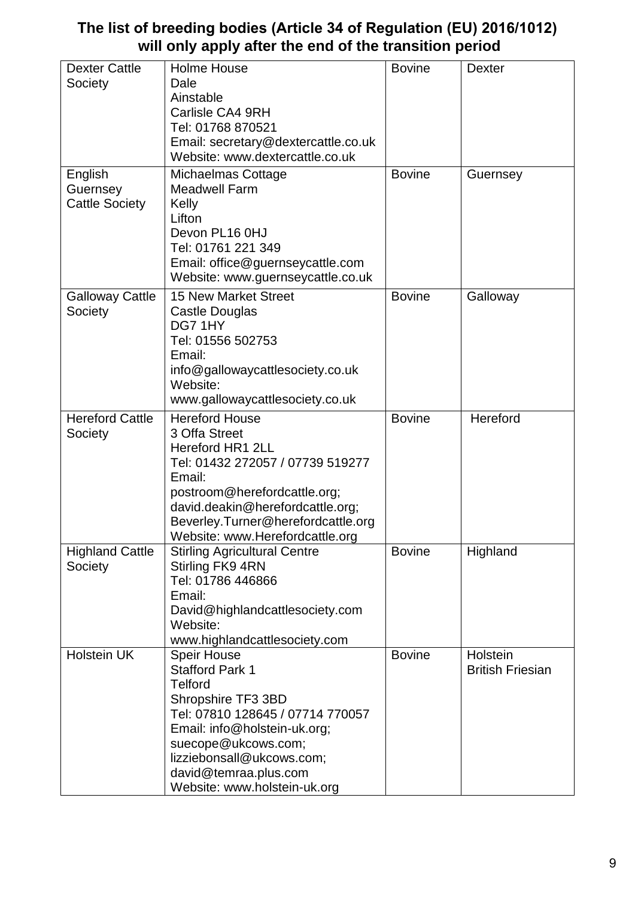| <b>Dexter Cattle</b><br>Society | <b>Holme House</b><br>Dale<br>Ainstable                                | <b>Bovine</b> | <b>Dexter</b>           |
|---------------------------------|------------------------------------------------------------------------|---------------|-------------------------|
|                                 | Carlisle CA4 9RH                                                       |               |                         |
|                                 | Tel: 01768 870521<br>Email: secretary@dextercattle.co.uk               |               |                         |
|                                 | Website: www.dextercattle.co.uk                                        |               |                         |
| English                         | <b>Michaelmas Cottage</b>                                              | <b>Bovine</b> | Guernsey                |
| Guernsey                        | <b>Meadwell Farm</b>                                                   |               |                         |
| <b>Cattle Society</b>           | Kelly<br>Lifton                                                        |               |                         |
|                                 | Devon PL16 0HJ                                                         |               |                         |
|                                 | Tel: 01761 221 349                                                     |               |                         |
|                                 | Email: office@guernseycattle.com                                       |               |                         |
| <b>Galloway Cattle</b>          | Website: www.guernseycattle.co.uk<br><b>15 New Market Street</b>       | <b>Bovine</b> | Galloway                |
| Society                         | <b>Castle Douglas</b>                                                  |               |                         |
|                                 | DG7 1HY                                                                |               |                         |
|                                 | Tel: 01556 502753                                                      |               |                         |
|                                 | Email:<br>info@gallowaycattlesociety.co.uk                             |               |                         |
|                                 | Website:                                                               |               |                         |
|                                 | www.gallowaycattlesociety.co.uk                                        |               |                         |
| <b>Hereford Cattle</b>          | <b>Hereford House</b>                                                  | <b>Bovine</b> | Hereford                |
| Society                         | 3 Offa Street<br><b>Hereford HR1 2LL</b>                               |               |                         |
|                                 | Tel: 01432 272057 / 07739 519277                                       |               |                         |
|                                 | Email:                                                                 |               |                         |
|                                 | postroom@herefordcattle.org;                                           |               |                         |
|                                 | david.deakin@herefordcattle.org;<br>Beverley.Turner@herefordcattle.org |               |                         |
|                                 | Website: www.Herefordcattle.org                                        |               |                         |
| <b>Highland Cattle</b>          | <b>Stirling Agricultural Centre</b>                                    | <b>Bovine</b> | Highland                |
| Society                         | Stirling FK9 4RN<br>Tel: 01786 446866                                  |               |                         |
|                                 | Email:                                                                 |               |                         |
|                                 | David@highlandcattlesociety.com                                        |               |                         |
|                                 | Website:                                                               |               |                         |
| <b>Holstein UK</b>              | www.highlandcattlesociety.com<br><b>Speir House</b>                    | <b>Bovine</b> | Holstein                |
|                                 | <b>Stafford Park 1</b>                                                 |               | <b>British Friesian</b> |
|                                 | <b>Telford</b>                                                         |               |                         |
|                                 | Shropshire TF3 3BD                                                     |               |                         |
|                                 | Tel: 07810 128645 / 07714 770057<br>Email: info@holstein-uk.org;       |               |                         |
|                                 | suecope@ukcows.com;                                                    |               |                         |
|                                 | lizziebonsall@ukcows.com;                                              |               |                         |
|                                 | david@temraa.plus.com                                                  |               |                         |
|                                 | Website: www.holstein-uk.org                                           |               |                         |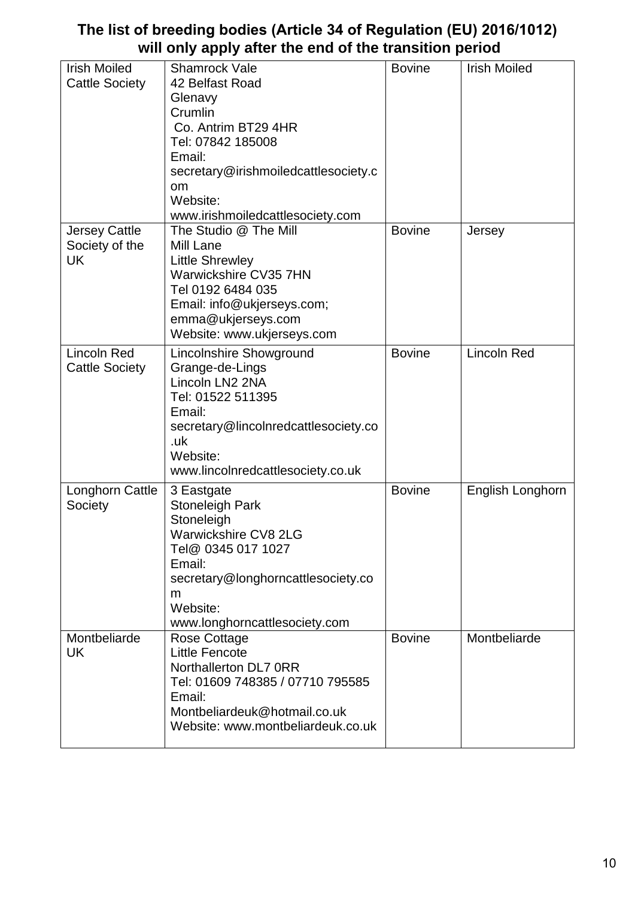| <b>Irish Moiled</b>   | Shamrock Vale                        | <b>Bovine</b> | <b>Irish Moiled</b> |
|-----------------------|--------------------------------------|---------------|---------------------|
| <b>Cattle Society</b> | 42 Belfast Road                      |               |                     |
|                       | Glenavy                              |               |                     |
|                       | Crumlin                              |               |                     |
|                       | Co. Antrim BT29 4HR                  |               |                     |
|                       | Tel: 07842 185008                    |               |                     |
|                       | Email:                               |               |                     |
|                       | secretary@irishmoiledcattlesociety.c |               |                     |
|                       |                                      |               |                     |
|                       | <b>om</b>                            |               |                     |
|                       | Website:                             |               |                     |
|                       | www.irishmoiledcattlesociety.com     |               |                     |
| <b>Jersey Cattle</b>  | The Studio @ The Mill                | <b>Bovine</b> | Jersey              |
| Society of the        | Mill Lane                            |               |                     |
| <b>UK</b>             | <b>Little Shrewley</b>               |               |                     |
|                       | Warwickshire CV35 7HN                |               |                     |
|                       | Tel 0192 6484 035                    |               |                     |
|                       | Email: info@ukjerseys.com;           |               |                     |
|                       |                                      |               |                     |
|                       | emma@ukjerseys.com                   |               |                     |
|                       | Website: www.ukjerseys.com           |               |                     |
| <b>Lincoln Red</b>    | Lincolnshire Showground              | <b>Bovine</b> | <b>Lincoln Red</b>  |
| <b>Cattle Society</b> | Grange-de-Lings                      |               |                     |
|                       | Lincoln LN2 2NA                      |               |                     |
|                       | Tel: 01522 511395                    |               |                     |
|                       | Email:                               |               |                     |
|                       |                                      |               |                     |
|                       | secretary@lincoInredcattlesociety.co |               |                     |
|                       | .uk                                  |               |                     |
|                       | Website:                             |               |                     |
|                       | www.lincolnredcattlesociety.co.uk    |               |                     |
| Longhorn Cattle       | 3 Eastgate                           | <b>Bovine</b> | English Longhorn    |
| Society               | <b>Stoneleigh Park</b>               |               |                     |
|                       | Stoneleigh                           |               |                     |
|                       | <b>Warwickshire CV8 2LG</b>          |               |                     |
|                       |                                      |               |                     |
|                       | Tel@ 0345 017 1027                   |               |                     |
|                       | Email:                               |               |                     |
|                       | secretary@longhorncattlesociety.co   |               |                     |
|                       | m                                    |               |                     |
|                       | Website:                             |               |                     |
|                       | www.longhorncattlesociety.com        |               |                     |
| Montbeliarde          | Rose Cottage                         | <b>Bovine</b> | Montbeliarde        |
| UK                    | Little Fencote                       |               |                     |
|                       | Northallerton DL7 0RR                |               |                     |
|                       |                                      |               |                     |
|                       | Tel: 01609 748385 / 07710 795585     |               |                     |
|                       | Email:                               |               |                     |
|                       | Montbeliardeuk@hotmail.co.uk         |               |                     |
|                       | Website: www.montbeliardeuk.co.uk    |               |                     |
|                       |                                      |               |                     |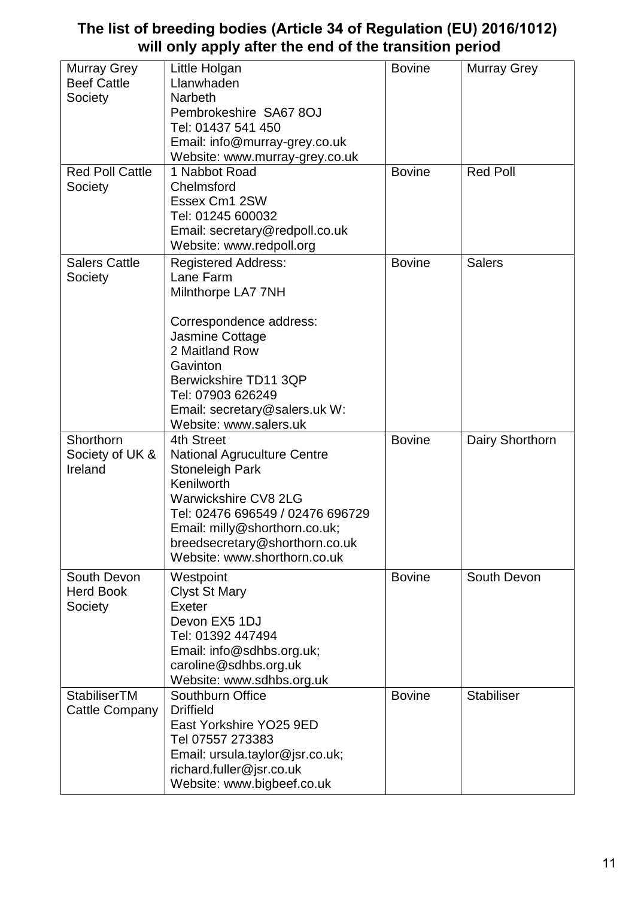| <b>Murray Grey</b><br><b>Beef Cattle</b><br>Society | Little Holgan<br>Llanwhaden<br><b>Narbeth</b><br>Pembrokeshire SA67 8OJ<br>Tel: 01437 541 450<br>Email: info@murray-grey.co.uk<br>Website: www.murray-grey.co.uk                                                                                               | <b>Bovine</b> | <b>Murray Grey</b> |
|-----------------------------------------------------|----------------------------------------------------------------------------------------------------------------------------------------------------------------------------------------------------------------------------------------------------------------|---------------|--------------------|
| <b>Red Poll Cattle</b><br>Society                   | 1 Nabbot Road<br>Chelmsford<br>Essex Cm1 2SW<br>Tel: 01245 600032<br>Email: secretary@redpoll.co.uk<br>Website: www.redpoll.org                                                                                                                                | <b>Bovine</b> | <b>Red Poll</b>    |
| <b>Salers Cattle</b><br>Society                     | <b>Registered Address:</b><br>Lane Farm<br>Milnthorpe LA7 7NH<br>Correspondence address:<br>Jasmine Cottage<br>2 Maitland Row<br>Gavinton<br>Berwickshire TD11 3QP<br>Tel: 07903 626249<br>Email: secretary@salers.uk W:<br>Website: www.salers.uk             | <b>Bovine</b> | <b>Salers</b>      |
| Shorthorn<br>Society of UK &<br>Ireland             | 4th Street<br><b>National Agruculture Centre</b><br><b>Stoneleigh Park</b><br>Kenilworth<br><b>Warwickshire CV8 2LG</b><br>Tel: 02476 696549 / 02476 696729<br>Email: milly@shorthorn.co.uk;<br>breedsecretary@shorthorn.co.uk<br>Website: www.shorthorn.co.uk | <b>Bovine</b> | Dairy Shorthorn    |
| South Devon<br><b>Herd Book</b><br>Society          | Westpoint<br><b>Clyst St Mary</b><br>Exeter<br>Devon EX5 1DJ<br>Tel: 01392 447494<br>Email: info@sdhbs.org.uk;<br>caroline@sdhbs.org.uk<br>Website: www.sdhbs.org.uk                                                                                           | <b>Bovine</b> | South Devon        |
| <b>StabiliserTM</b><br>Cattle Company               | Southburn Office<br><b>Driffield</b><br>East Yorkshire YO25 9ED<br>Tel 07557 273383<br>Email: ursula.taylor@jsr.co.uk;<br>richard.fuller@jsr.co.uk<br>Website: www.bigbeef.co.uk                                                                               | <b>Bovine</b> | <b>Stabiliser</b>  |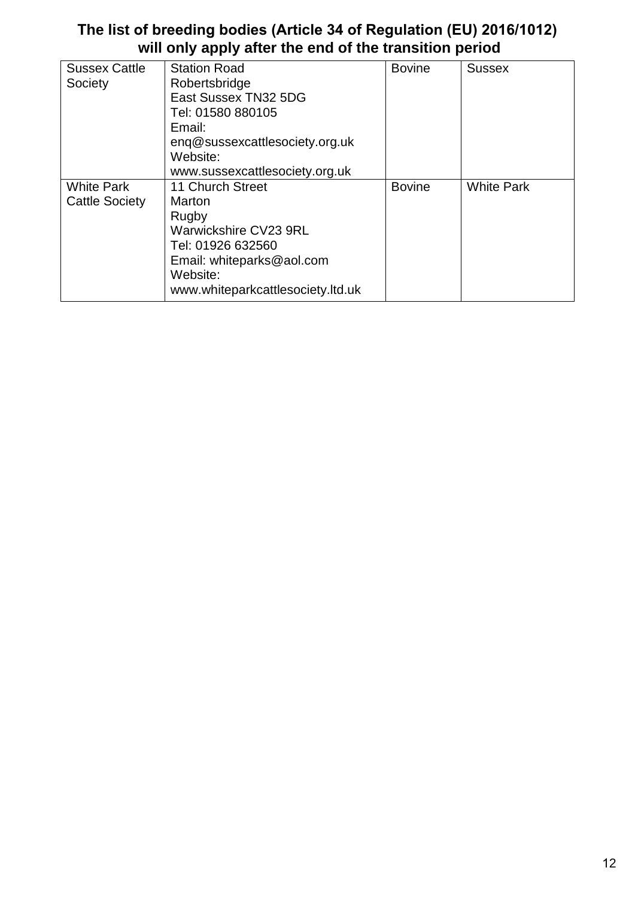| <b>Sussex Cattle</b>  | <b>Station Road</b>               | <b>Bovine</b> | <b>Sussex</b>     |
|-----------------------|-----------------------------------|---------------|-------------------|
| Society               | Robertsbridge                     |               |                   |
|                       | East Sussex TN32 5DG              |               |                   |
|                       | Tel: 01580 880105                 |               |                   |
|                       | Email:                            |               |                   |
|                       | eng@sussexcattlesociety.org.uk    |               |                   |
|                       | Website:                          |               |                   |
|                       | www.sussexcattlesociety.org.uk    |               |                   |
| <b>White Park</b>     | 11 Church Street                  | <b>Bovine</b> | <b>White Park</b> |
| <b>Cattle Society</b> | Marton                            |               |                   |
|                       | Rugby                             |               |                   |
|                       | Warwickshire CV23 9RL             |               |                   |
|                       | Tel: 01926 632560                 |               |                   |
|                       | Email: whiteparks@aol.com         |               |                   |
|                       | Website:                          |               |                   |
|                       | www.whiteparkcattlesociety.ltd.uk |               |                   |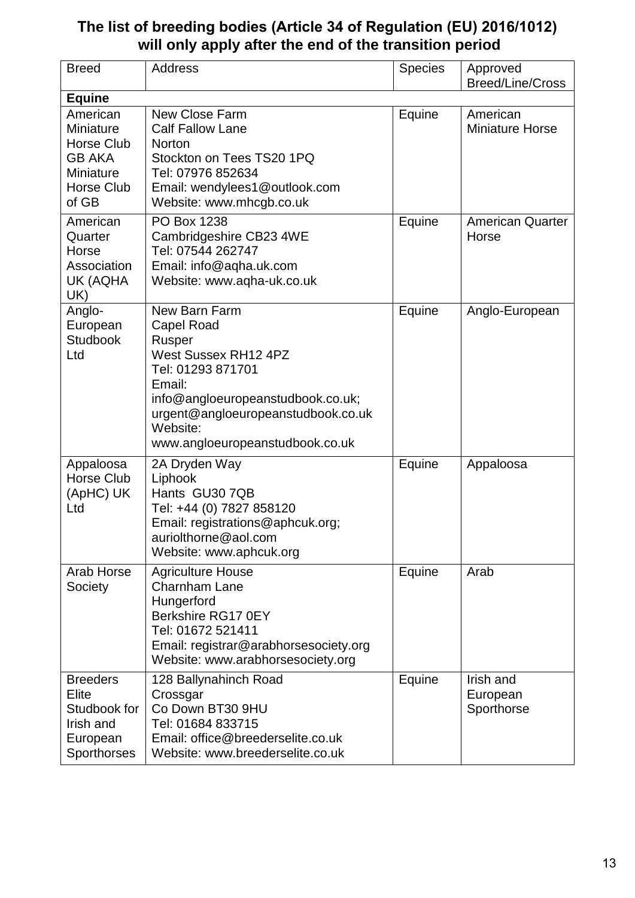| <b>Breed</b>                                                                             | <b>Address</b>                                                                                                                                                                                                                       | <b>Species</b> | Approved<br><b>Breed/Line/Cross</b> |
|------------------------------------------------------------------------------------------|--------------------------------------------------------------------------------------------------------------------------------------------------------------------------------------------------------------------------------------|----------------|-------------------------------------|
| <b>Equine</b>                                                                            |                                                                                                                                                                                                                                      |                |                                     |
| American<br>Miniature<br>Horse Club<br><b>GB AKA</b><br>Miniature<br>Horse Club<br>of GB | <b>New Close Farm</b><br><b>Calf Fallow Lane</b><br><b>Norton</b><br>Stockton on Tees TS20 1PQ<br>Tel: 07976 852634<br>Email: wendylees1@outlook.com<br>Website: www.mhcgb.co.uk                                                     | Equine         | American<br><b>Miniature Horse</b>  |
| American<br>Quarter<br>Horse<br>Association<br>UK (AQHA<br>UK)                           | PO Box 1238<br>Cambridgeshire CB23 4WE<br>Tel: 07544 262747<br>Email: info@aqha.uk.com<br>Website: www.aqha-uk.co.uk                                                                                                                 | Equine         | <b>American Quarter</b><br>Horse    |
| Anglo-<br>European<br><b>Studbook</b><br>Ltd                                             | New Barn Farm<br><b>Capel Road</b><br>Rusper<br><b>West Sussex RH12 4PZ</b><br>Tel: 01293 871701<br>Email:<br>info@angloeuropeanstudbook.co.uk;<br>urgent@angloeuropeanstudbook.co.uk<br>Website:<br>www.angloeuropeanstudbook.co.uk | Equine         | Anglo-European                      |
| Appaloosa<br>Horse Club<br>(ApHC) UK<br>Ltd                                              | 2A Dryden Way<br>Liphook<br>Hants GU30 7QB<br>Tel: +44 (0) 7827 858120<br>Email: registrations@aphcuk.org;<br>auriolthorne@aol.com<br>Website: www.aphcuk.org                                                                        | Equine         | Appaloosa                           |
| Arab Horse<br>Society                                                                    | <b>Agriculture House</b><br>Charnham Lane<br>Hungerford<br>Berkshire RG17 0EY<br>Tel: 01672 521411<br>Email: registrar@arabhorsesociety.org<br>Website: www.arabhorsesociety.org                                                     | Equine         | Arab                                |
| <b>Breeders</b><br>Elite<br>Studbook for<br>Irish and<br>European<br><b>Sporthorses</b>  | 128 Ballynahinch Road<br>Crossgar<br>Co Down BT30 9HU<br>Tel: 01684 833715<br>Email: office@breederselite.co.uk<br>Website: www.breederselite.co.uk                                                                                  | Equine         | Irish and<br>European<br>Sporthorse |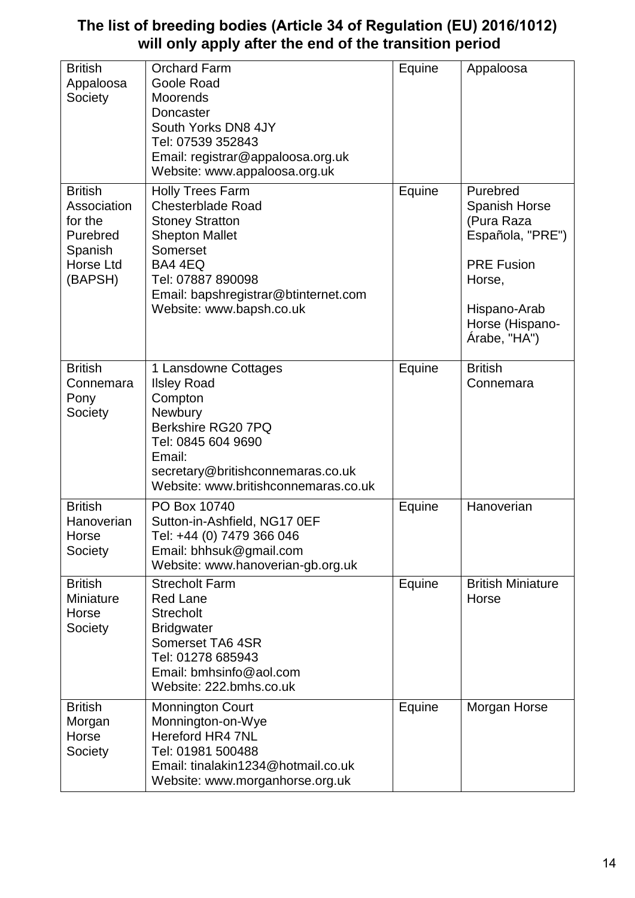| <b>British</b><br>Appaloosa<br>Society                                                         | <b>Orchard Farm</b><br>Goole Road<br>Moorends<br>Doncaster<br>South Yorks DN8 4JY<br>Tel: 07539 352843<br>Email: registrar@appaloosa.org.uk<br>Website: www.appaloosa.org.uk                                           | Equine | Appaloosa                                                                                                                                            |
|------------------------------------------------------------------------------------------------|------------------------------------------------------------------------------------------------------------------------------------------------------------------------------------------------------------------------|--------|------------------------------------------------------------------------------------------------------------------------------------------------------|
| <b>British</b><br>Association<br>for the<br>Purebred<br>Spanish<br><b>Horse Ltd</b><br>(BAPSH) | <b>Holly Trees Farm</b><br><b>Chesterblade Road</b><br><b>Stoney Stratton</b><br><b>Shepton Mallet</b><br>Somerset<br>BA4 4EQ<br>Tel: 07887 890098<br>Email: bapshregistrar@btinternet.com<br>Website: www.bapsh.co.uk | Equine | Purebred<br><b>Spanish Horse</b><br>(Pura Raza<br>Española, "PRE")<br><b>PRE Fusion</b><br>Horse,<br>Hispano-Arab<br>Horse (Hispano-<br>Arabe, "HA") |
| <b>British</b><br>Connemara<br>Pony<br>Society                                                 | 1 Lansdowne Cottages<br><b>Ilsley Road</b><br>Compton<br>Newbury<br>Berkshire RG20 7PQ<br>Tel: 0845 604 9690<br>Email:<br>secretary@britishconnemaras.co.uk<br>Website: www.britishconnemaras.co.uk                    | Equine | <b>British</b><br>Connemara                                                                                                                          |
| <b>British</b><br>Hanoverian<br>Horse<br>Society                                               | PO Box 10740<br>Sutton-in-Ashfield, NG17 0EF<br>Tel: +44 (0) 7479 366 046<br>Email: bhhsuk@gmail.com<br>Website: www.hanoverian-gb.org.uk                                                                              | Equine | Hanoverian                                                                                                                                           |
| <b>British</b><br>Miniature<br>Horse<br>Society                                                | <b>Strecholt Farm</b><br><b>Red Lane</b><br><b>Strecholt</b><br><b>Bridgwater</b><br>Somerset TA6 4SR<br>Tel: 01278 685943<br>Email: bmhsinfo@aol.com<br>Website: 222.bmhs.co.uk                                       | Equine | <b>British Miniature</b><br>Horse                                                                                                                    |
| <b>British</b><br>Morgan<br>Horse<br>Society                                                   | <b>Monnington Court</b><br>Monnington-on-Wye<br>Hereford HR4 7NL<br>Tel: 01981 500488<br>Email: tinalakin1234@hotmail.co.uk<br>Website: www.morganhorse.org.uk                                                         | Equine | Morgan Horse                                                                                                                                         |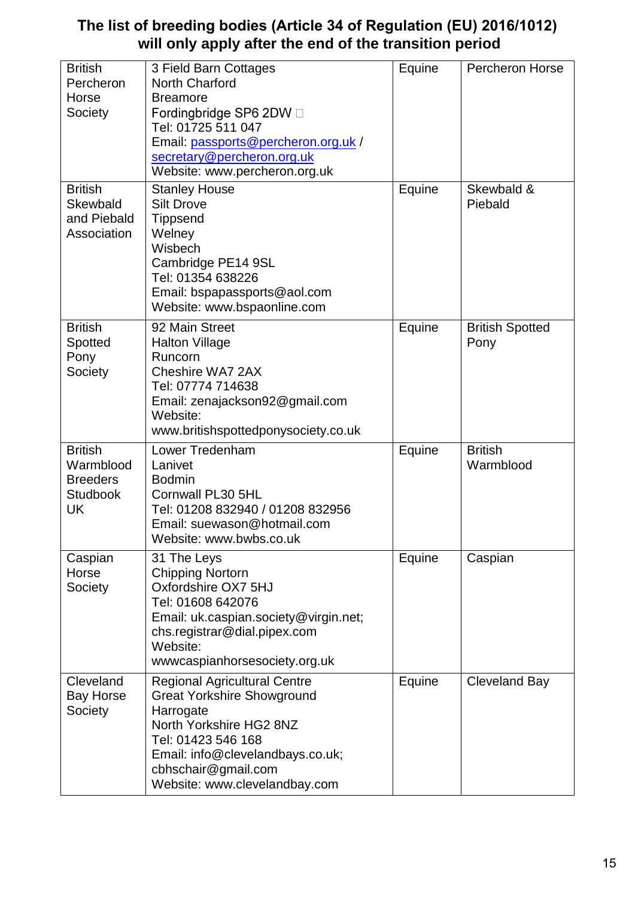| <b>British</b>   | 3 Field Barn Cottages                 | Equine | <b>Percheron Horse</b> |
|------------------|---------------------------------------|--------|------------------------|
| Percheron        | <b>North Charford</b>                 |        |                        |
| Horse            | <b>Breamore</b>                       |        |                        |
| Society          | Fordingbridge SP6 2DW D               |        |                        |
|                  | Tel: 01725 511 047                    |        |                        |
|                  | Email: passports@percheron.org.uk /   |        |                        |
|                  | secretary@percheron.org.uk            |        |                        |
|                  | Website: www.percheron.org.uk         |        |                        |
| <b>British</b>   | <b>Stanley House</b>                  | Equine | Skewbald &             |
| <b>Skewbald</b>  | <b>Silt Drove</b>                     |        | Piebald                |
| and Piebald      | <b>Tippsend</b>                       |        |                        |
| Association      | Welney                                |        |                        |
|                  | Wisbech                               |        |                        |
|                  | Cambridge PE14 9SL                    |        |                        |
|                  | Tel: 01354 638226                     |        |                        |
|                  | Email: bspapassports@aol.com          |        |                        |
|                  | Website: www.bspaonline.com           |        |                        |
|                  |                                       |        |                        |
| <b>British</b>   | 92 Main Street                        | Equine | <b>British Spotted</b> |
| Spotted          | <b>Halton Village</b>                 |        | Pony                   |
| Pony             | Runcorn                               |        |                        |
| Society          | Cheshire WA7 2AX                      |        |                        |
|                  | Tel: 07774 714638                     |        |                        |
|                  | Email: zenajackson92@gmail.com        |        |                        |
|                  | Website:                              |        |                        |
|                  | www.britishspottedponysociety.co.uk   |        |                        |
| <b>British</b>   | Lower Tredenham                       | Equine | <b>British</b>         |
| Warmblood        | Lanivet                               |        | Warmblood              |
| <b>Breeders</b>  | <b>Bodmin</b>                         |        |                        |
| <b>Studbook</b>  | Cornwall PL30 5HL                     |        |                        |
| <b>UK</b>        | Tel: 01208 832940 / 01208 832956      |        |                        |
|                  | Email: suewason@hotmail.com           |        |                        |
|                  | Website: www.bwbs.co.uk               |        |                        |
| Caspian          | 31 The Leys                           | Equine | Caspian                |
| Horse            | <b>Chipping Nortorn</b>               |        |                        |
| Society          | Oxfordshire OX7 5HJ                   |        |                        |
|                  | Tel: 01608 642076                     |        |                        |
|                  | Email: uk.caspian.society@virgin.net; |        |                        |
|                  | chs.registrar@dial.pipex.com          |        |                        |
|                  | Website:                              |        |                        |
|                  | wwwcaspianhorsesociety.org.uk         |        |                        |
|                  |                                       |        |                        |
| Cleveland        | <b>Regional Agricultural Centre</b>   | Equine | Cleveland Bay          |
| <b>Bay Horse</b> | <b>Great Yorkshire Showground</b>     |        |                        |
| Society          | Harrogate                             |        |                        |
|                  | North Yorkshire HG2 8NZ               |        |                        |
|                  | Tel: 01423 546 168                    |        |                        |
|                  | Email: info@clevelandbays.co.uk;      |        |                        |
|                  | cbhschair@gmail.com                   |        |                        |
|                  | Website: www.clevelandbay.com         |        |                        |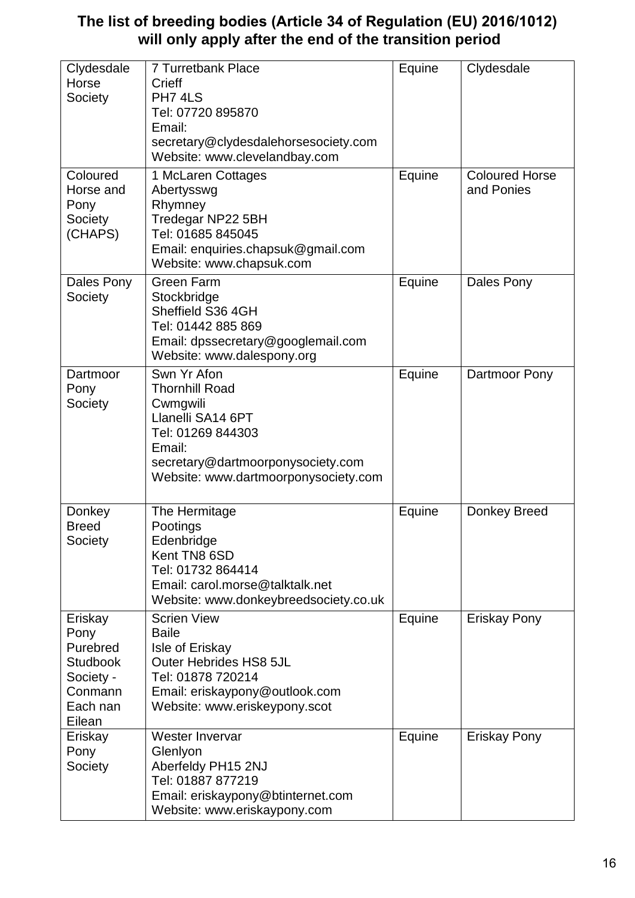| Clydesdale<br>Horse<br>Society                                                               | <b>7 Turretbank Place</b><br>Crieff<br>PH7 4LS<br>Tel: 07720 895870<br>Email:<br>secretary@clydesdalehorsesociety.com<br>Website: www.clevelandbay.com                            | Equine | Clydesdale                          |
|----------------------------------------------------------------------------------------------|-----------------------------------------------------------------------------------------------------------------------------------------------------------------------------------|--------|-------------------------------------|
| Coloured<br>Horse and<br>Pony<br>Society<br>(CHAPS)                                          | 1 McLaren Cottages<br>Abertysswg<br>Rhymney<br>Tredegar NP22 5BH<br>Tel: 01685 845045<br>Email: enquiries.chapsuk@gmail.com<br>Website: www.chapsuk.com                           | Equine | <b>Coloured Horse</b><br>and Ponies |
| Dales Pony<br>Society                                                                        | <b>Green Farm</b><br>Stockbridge<br>Sheffield S36 4GH<br>Tel: 01442 885 869<br>Email: dpssecretary@googlemail.com<br>Website: www.dalespony.org                                   | Equine | Dales Pony                          |
| Dartmoor<br>Pony<br>Society                                                                  | Swn Yr Afon<br><b>Thornhill Road</b><br>Cwmgwili<br>Llanelli SA14 6PT<br>Tel: 01269 844303<br>Email:<br>secretary@dartmoorponysociety.com<br>Website: www.dartmoorponysociety.com | Equine | Dartmoor Pony                       |
| Donkey<br><b>Breed</b><br>Society                                                            | The Hermitage<br>Pootings<br>Edenbridge<br>Kent TN8 6SD<br>Tel: 01732 864414<br>Email: carol.morse@talktalk.net<br>Website: www.donkeybreedsociety.co.uk                          | Equine | Donkey Breed                        |
| Eriskay<br>Pony<br>Purebred<br><b>Studbook</b><br>Society -<br>Conmann<br>Each nan<br>Eilean | <b>Scrien View</b><br><b>Baile</b><br>Isle of Eriskay<br><b>Outer Hebrides HS8 5JL</b><br>Tel: 01878 720214<br>Email: eriskaypony@outlook.com<br>Website: www.eriskeypony.scot    | Equine | <b>Eriskay Pony</b>                 |
| Eriskay<br>Pony<br>Society                                                                   | Wester Invervar<br>Glenlyon<br>Aberfeldy PH15 2NJ<br>Tel: 01887 877219<br>Email: eriskaypony@btinternet.com<br>Website: www.eriskaypony.com                                       | Equine | Eriskay Pony                        |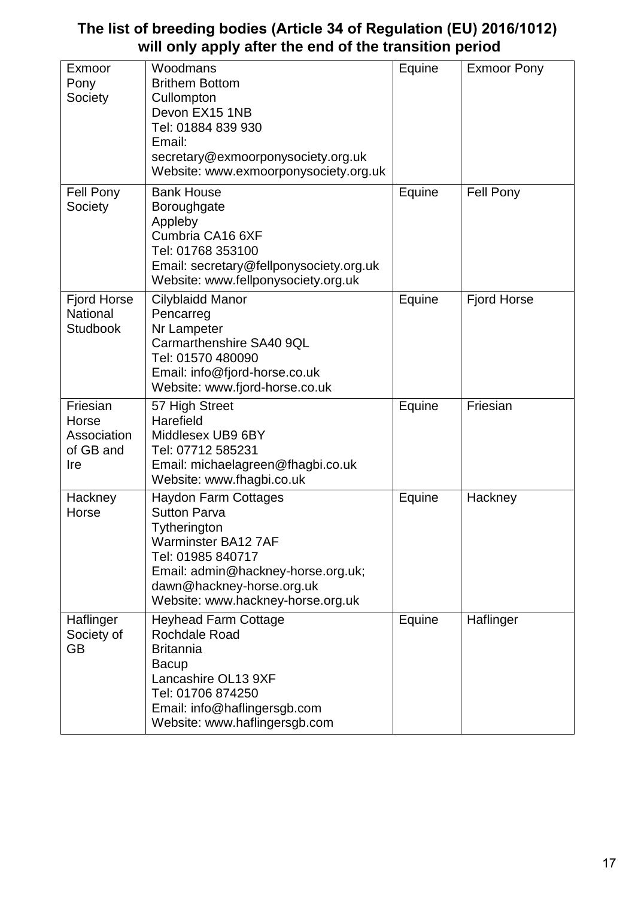| Exmoor<br>Pony<br>Society                                | Woodmans<br><b>Brithem Bottom</b><br>Cullompton<br>Devon EX15 1NB<br>Tel: 01884 839 930<br>Email:<br>secretary@exmoorponysociety.org.uk<br>Website: www.exmoorponysociety.org.uk                                              | Equine | <b>Exmoor Pony</b> |
|----------------------------------------------------------|-------------------------------------------------------------------------------------------------------------------------------------------------------------------------------------------------------------------------------|--------|--------------------|
| Fell Pony<br>Society                                     | <b>Bank House</b><br>Boroughgate<br>Appleby<br>Cumbria CA16 6XF<br>Tel: 01768 353100<br>Email: secretary@fellponysociety.org.uk<br>Website: www.fellponysociety.org.uk                                                        | Equine | Fell Pony          |
| <b>Fjord Horse</b><br><b>National</b><br><b>Studbook</b> | Cilyblaidd Manor<br>Pencarreg<br>Nr Lampeter<br>Carmarthenshire SA40 9QL<br>Tel: 01570 480090<br>Email: info@fjord-horse.co.uk<br>Website: www.fjord-horse.co.uk                                                              | Equine | <b>Fjord Horse</b> |
| Friesian<br>Horse<br>Association<br>of GB and<br>Ire     | 57 High Street<br>Harefield<br>Middlesex UB9 6BY<br>Tel: 07712 585231<br>Email: michaelagreen@fhagbi.co.uk<br>Website: www.fhagbi.co.uk                                                                                       | Equine | Friesian           |
| Hackney<br>Horse                                         | <b>Haydon Farm Cottages</b><br><b>Sutton Parva</b><br>Tytherington<br><b>Warminster BA12 7AF</b><br>Tel: 01985 840717<br>Email: admin@hackney-horse.org.uk;<br>dawn@hackney-horse.org.uk<br>Website: www.hackney-horse.org.uk | Equine | Hackney            |
| Haflinger<br>Society of<br><b>GB</b>                     | <b>Heyhead Farm Cottage</b><br>Rochdale Road<br><b>Britannia</b><br><b>Bacup</b><br>Lancashire OL13 9XF<br>Tel: 01706 874250<br>Email: info@haflingersgb.com<br>Website: www.haflingersgb.com                                 | Equine | Haflinger          |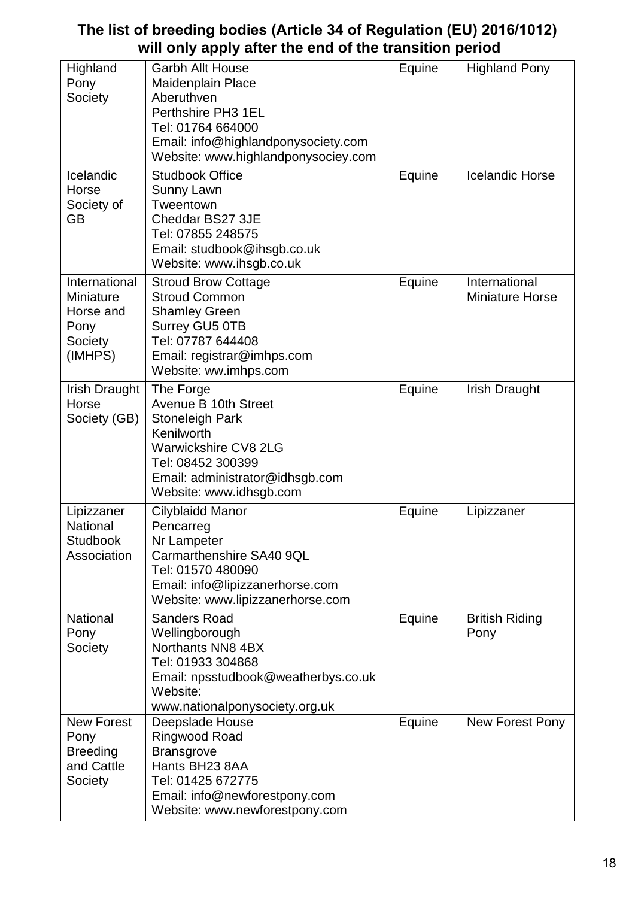| Highland<br>Pony<br>Society                                           | <b>Garbh Allt House</b><br>Maidenplain Place<br>Aberuthven<br>Perthshire PH3 1EL<br>Tel: 01764 664000<br>Email: info@highlandponysociety.com<br>Website: www.highlandponysociey.com         | Equine | <b>Highland Pony</b>                    |
|-----------------------------------------------------------------------|---------------------------------------------------------------------------------------------------------------------------------------------------------------------------------------------|--------|-----------------------------------------|
| Icelandic<br>Horse<br>Society of<br><b>GB</b>                         | <b>Studbook Office</b><br><b>Sunny Lawn</b><br>Tweentown<br>Cheddar BS27 3JE<br>Tel: 07855 248575<br>Email: studbook@ihsgb.co.uk<br>Website: www.ihsgb.co.uk                                | Equine | <b>Icelandic Horse</b>                  |
| International<br>Miniature<br>Horse and<br>Pony<br>Society<br>(IMHPS) | <b>Stroud Brow Cottage</b><br><b>Stroud Common</b><br><b>Shamley Green</b><br>Surrey GU5 0TB<br>Tel: 07787 644408<br>Email: registrar@imhps.com<br>Website: ww.imhps.com                    | Equine | International<br><b>Miniature Horse</b> |
| <b>Irish Draught</b><br>Horse<br>Society (GB)                         | The Forge<br>Avenue B 10th Street<br><b>Stoneleigh Park</b><br>Kenilworth<br><b>Warwickshire CV8 2LG</b><br>Tel: 08452 300399<br>Email: administrator@idhsgb.com<br>Website: www.idhsgb.com | Equine | <b>Irish Draught</b>                    |
| Lipizzaner<br>National<br><b>Studbook</b><br>Association              | Cilyblaidd Manor<br>Pencarreg<br>Nr Lampeter<br>Carmarthenshire SA40 9QL<br>Tel: 01570 480090<br>Email: info@lipizzanerhorse.com<br>Website: www.lipizzanerhorse.com                        | Equine | Lipizzaner                              |
| National<br>Pony<br>Society                                           | <b>Sanders Road</b><br>Wellingborough<br>Northants NN8 4BX<br>Tel: 01933 304868<br>Email: npsstudbook@weatherbys.co.uk<br>Website:<br>www.nationalponysociety.org.uk                        | Equine | <b>British Riding</b><br>Pony           |
| <b>New Forest</b><br>Pony<br><b>Breeding</b><br>and Cattle<br>Society | Deepslade House<br>Ringwood Road<br>Bransgrove<br>Hants BH23 8AA<br>Tel: 01425 672775<br>Email: info@newforestpony.com<br>Website: www.newforestpony.com                                    | Equine | New Forest Pony                         |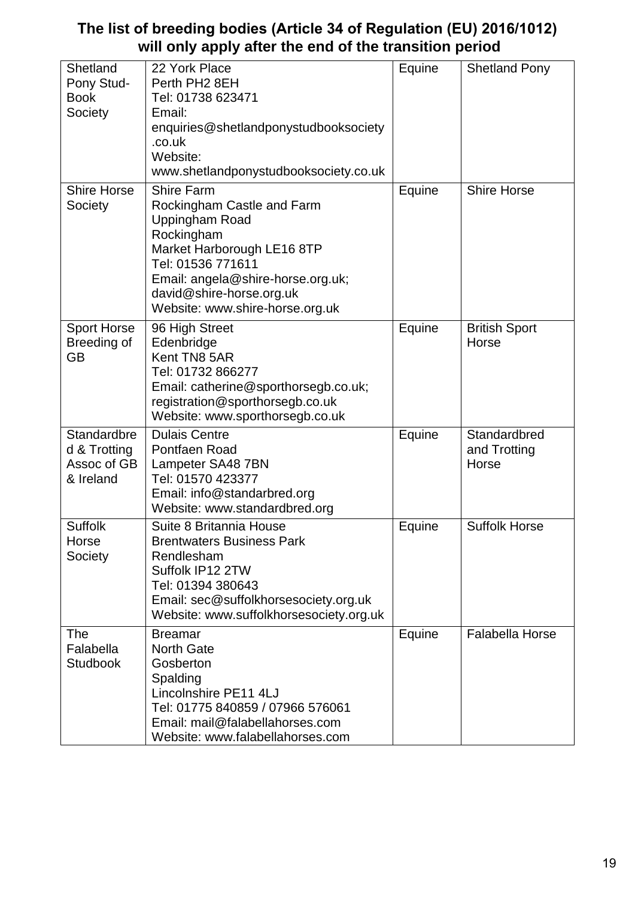| Shetland<br>Pony Stud-<br><b>Book</b><br>Society        | 22 York Place<br>Perth PH <sub>2</sub> 8EH<br>Tel: 01738 623471<br>Email:<br>enquiries@shetlandponystudbooksociety<br>.co.uk<br>Website:<br>www.shetlandponystudbooksociety.co.uk                                                      | Equine | <b>Shetland Pony</b>                  |
|---------------------------------------------------------|----------------------------------------------------------------------------------------------------------------------------------------------------------------------------------------------------------------------------------------|--------|---------------------------------------|
| <b>Shire Horse</b><br>Society                           | <b>Shire Farm</b><br>Rockingham Castle and Farm<br>Uppingham Road<br>Rockingham<br>Market Harborough LE16 8TP<br>Tel: 01536 771611<br>Email: angela@shire-horse.org.uk;<br>david@shire-horse.org.uk<br>Website: www.shire-horse.org.uk | Equine | <b>Shire Horse</b>                    |
| <b>Sport Horse</b><br>Breeding of<br>GВ                 | 96 High Street<br>Edenbridge<br>Kent TN8 5AR<br>Tel: 01732 866277<br>Email: catherine@sporthorsegb.co.uk;<br>registration@sporthorsegb.co.uk<br>Website: www.sporthorsegb.co.uk                                                        | Equine | <b>British Sport</b><br>Horse         |
| Standardbre<br>d & Trotting<br>Assoc of GB<br>& Ireland | <b>Dulais Centre</b><br>Pontfaen Road<br>Lampeter SA48 7BN<br>Tel: 01570 423377<br>Email: info@standarbred.org<br>Website: www.standardbred.org                                                                                        | Equine | Standardbred<br>and Trotting<br>Horse |
| <b>Suffolk</b><br>Horse<br>Society                      | Suite 8 Britannia House<br><b>Brentwaters Business Park</b><br>Rendlesham<br>Suffolk IP12 2TW<br>Tel: 01394 380643<br>Email: sec@suffolkhorsesociety.org.uk<br>Website: www.suffolkhorsesociety.org.uk                                 | Equine | <b>Suffolk Horse</b>                  |
| The<br>Falabella<br><b>Studbook</b>                     | <b>Breamar</b><br><b>North Gate</b><br>Gosberton<br>Spalding<br>Lincolnshire PE11 4LJ<br>Tel: 01775 840859 / 07966 576061<br>Email: mail@falabellahorses.com<br>Website: www.falabellahorses.com                                       | Equine | <b>Falabella Horse</b>                |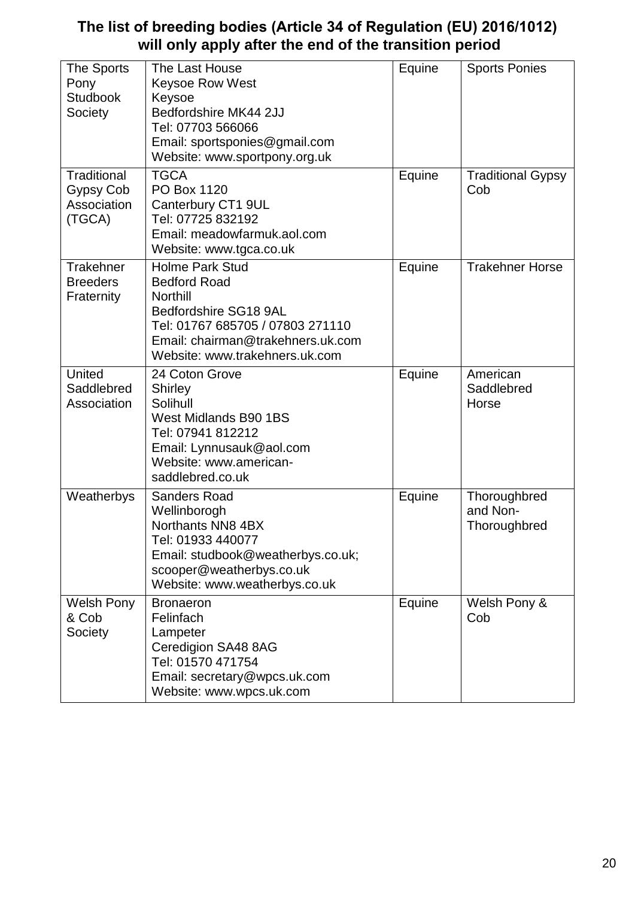| The Sports<br>Pony<br><b>Studbook</b><br>Society  | The Last House<br><b>Keysoe Row West</b><br>Keysoe<br>Bedfordshire MK44 2JJ<br>Tel: 07703 566066<br>Email: sportsponies@gmail.com<br>Website: www.sportpony.org.uk                                   | Equine | <b>Sports Ponies</b>                     |
|---------------------------------------------------|------------------------------------------------------------------------------------------------------------------------------------------------------------------------------------------------------|--------|------------------------------------------|
| Traditional<br>Gypsy Cob<br>Association<br>(TGCA) | <b>TGCA</b><br>PO Box 1120<br>Canterbury CT1 9UL<br>Tel: 07725 832192<br>Email: meadowfarmuk.aol.com<br>Website: www.tgca.co.uk                                                                      | Equine | <b>Traditional Gypsy</b><br>Cob          |
| Trakehner<br><b>Breeders</b><br>Fraternity        | <b>Holme Park Stud</b><br><b>Bedford Road</b><br><b>Northill</b><br>Bedfordshire SG18 9AL<br>Tel: 01767 685705 / 07803 271110<br>Email: chairman@trakehners.uk.com<br>Website: www.trakehners.uk.com | Equine | <b>Trakehner Horse</b>                   |
| <b>United</b><br>Saddlebred<br>Association        | 24 Coton Grove<br><b>Shirley</b><br>Solihull<br><b>West Midlands B90 1BS</b><br>Tel: 07941 812212<br>Email: Lynnusauk@aol.com<br>Website: www.american-<br>saddlebred.co.uk                          | Equine | American<br>Saddlebred<br>Horse          |
| Weatherbys                                        | <b>Sanders Road</b><br>Wellinborogh<br>Northants NN8 4BX<br>Tel: 01933 440077<br>Email: studbook@weatherbys.co.uk;<br>scooper@weatherbys.co.uk<br>Website: www.weatherbys.co.uk                      | Equine | Thoroughbred<br>and Non-<br>Thoroughbred |
| <b>Welsh Pony</b><br>& Cob<br>Society             | <b>Bronaeron</b><br>Felinfach<br>Lampeter<br>Ceredigion SA48 8AG<br>Tel: 01570 471754<br>Email: secretary@wpcs.uk.com<br>Website: www.wpcs.uk.com                                                    | Equine | Welsh Pony &<br>Cob                      |